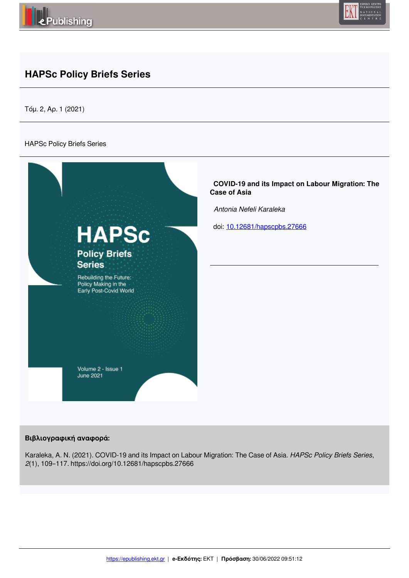



# **HAPSc Policy Briefs Series**

Τόμ. 2, Αρ. 1 (2021)

### HAPSc Policy Briefs Series



# **Βιβλιογραφική αναφορά:**

Karaleka, A. N. (2021). COVID-19 and its Impact on Labour Migration: The Case of Asia. *HAPSc Policy Briefs Series*, *2*(1), 109–117. https://doi.org/10.12681/hapscpbs.27666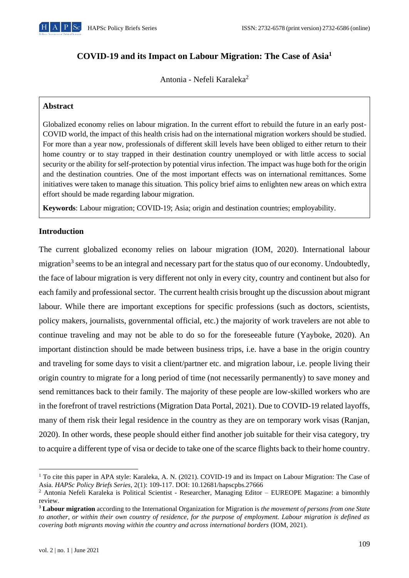

# **COVID-19 and its Impact on Labour Migration: The Case of Asia<sup>1</sup>**

Antonia - Nefeli Karaleka<sup>2</sup>

# **Abstract**

Globalized economy relies on labour migration. In the current effort to rebuild the future in an early post-COVID world, the impact of this health crisis had on the international migration workers should be studied. For more than a year now, professionals of different skill levels have been obliged to either return to their home country or to stay trapped in their destination country unemployed or with little access to social security or the ability for self-protection by potential virus infection. The impact was huge both for the origin and the destination countries. One of the most important effects was on international remittances. Some initiatives were taken to manage this situation. This policy brief aims to enlighten new areas on which extra effort should be made regarding labour migration.

**Keywords**: Labour migration; COVID-19; Asia; origin and destination countries; employability.

# **Introduction**

The current globalized economy relies on labour migration (IOM, 2020). International labour migration<sup>3</sup> seems to be an integral and necessary part for the status quo of our economy. Undoubtedly, the face of labour migration is very different not only in every city, country and continent but also for each family and professional sector. The current health crisis brought up the discussion about migrant labour. While there are important exceptions for specific professions (such as doctors, scientists, policy makers, journalists, governmental official, etc.) the majority of work travelers are not able to continue traveling and may not be able to do so for the foreseeable future (Yayboke, 2020). An important distinction should be made between business trips, i.e. have a base in the origin country and traveling for some days to visit a client/partner etc. and migration labour, i.e. people living their origin country to migrate for a long period of time (not necessarily permanently) to save money and send remittances back to their family. The majority of these people are low-skilled workers who are in the forefront of travel restrictions (Migration Data Portal, 2021). Due to COVID-19 related layoffs, many of them risk their legal residence in the country as they are on temporary work visas (Ranjan, 2020). In other words, these people should either find another job suitable for their visa category, try to acquire a different type of visa or decide to take one of the scarce flights back to their home country.

<sup>&</sup>lt;sup>1</sup> To cite this paper in APA style: Karaleka, A. N. (2021). COVID-19 and its Impact on Labour Migration: The Case of Asia. *HAPSc Policy Briefs Series*, 2(1): 109-117. DOI: 10.12681/hapscpbs.27666

<sup>&</sup>lt;sup>2</sup> Antonia Nefeli Karaleka is Political Scientist - Researcher, Managing Editor – EUREOPE Magazine: a bimonthly review.

<sup>3</sup> **Labour migration** according to the International Organization for Migration is *the movement of persons from one State to another, or within their own country of residence, for the purpose of employment. Labour migration is defined as covering both migrants moving within the country and across international borders* (IOM, 2021).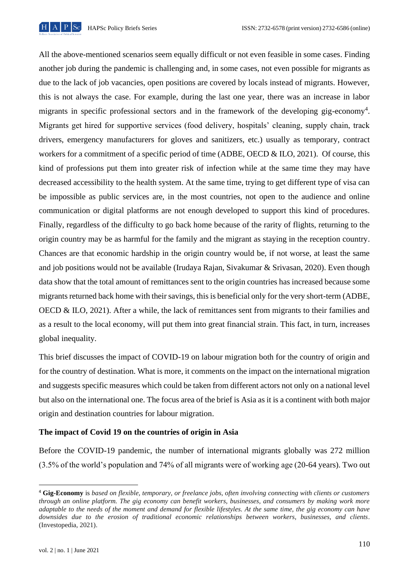

All the above-mentioned scenarios seem equally difficult or not even feasible in some cases. Finding another job during the pandemic is challenging and, in some cases, not even possible for migrants as due to the lack of job vacancies, open positions are covered by locals instead of migrants. However, this is not always the case. For example, during the last one year, there was an increase in labor migrants in specific professional sectors and in the framework of the developing gig-economy<sup>4</sup>. Migrants get hired for supportive services (food delivery, hospitals' cleaning, supply chain, track drivers, emergency manufacturers for gloves and sanitizers, etc.) usually as temporary, contract workers for a commitment of a specific period of time (ADBE, OECD & ILO, 2021). Of course, this kind of professions put them into greater risk of infection while at the same time they may have decreased accessibility to the health system. At the same time, trying to get different type of visa can be impossible as public services are, in the most countries, not open to the audience and online communication or digital platforms are not enough developed to support this kind of procedures. Finally, regardless of the difficulty to go back home because of the rarity of flights, returning to the origin country may be as harmful for the family and the migrant as staying in the reception country. Chances are that economic hardship in the origin country would be, if not worse, at least the same and job positions would not be available (Irudaya Rajan, Sivakumar & Srivasan, 2020). Even though data show that the total amount of remittances sent to the origin countries has increased because some migrants returned back home with their savings, this is beneficial only for the very short-term (ADBE, OECD & ILO, 2021). After a while, the lack of remittances sent from migrants to their families and as a result to the local economy, will put them into great financial strain. This fact, in turn, increases global inequality.

This brief discusses the impact of COVID-19 on labour migration both for the country of origin and for the country of destination. What is more, it comments on the impact on the international migration and suggests specific measures which could be taken from different actors not only on a national level but also on the international one. The focus area of the brief is Asia as it is a continent with both major origin and destination countries for labour migration.

# **The impact of Covid 19 on the countries of origin in Asia**

Before the COVID-19 pandemic, the number of international migrants globally was 272 million (3.5% of the world's population and 74% of all migrants were of working age (20-64 years). Two out

<sup>4</sup> **Gig-Economy** is *based on flexible, temporary, or freelance jobs, often involving connecting with clients or customers through an online platform. The gig economy can benefit workers, businesses, and consumers by making work more adaptable to the needs of the moment and demand for flexible lifestyles. At the same time, the gig economy can have downsides due to the erosion of traditional economic relationships between workers, businesses, and clients*. (Investopedia, 2021).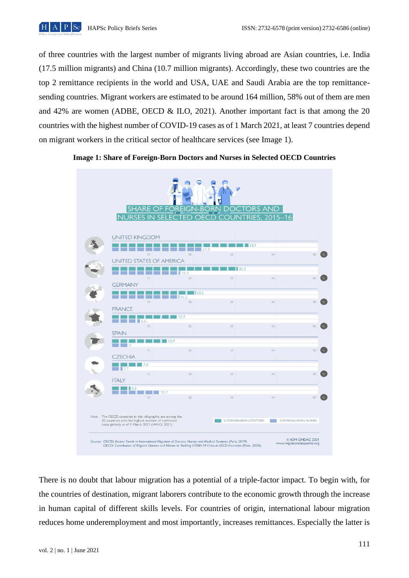

of three countries with the largest number of migrants living abroad are Asian countries, i.e. India (17.5 million migrants) and China (10.7 million migrants). Accordingly, these two countries are the top 2 remittance recipients in the world and USA, UAE and Saudi Arabia are the top remittancesending countries. Migrant workers are estimated to be around 164 million, 58% out of them are men and 42% are women (ADBE, OECD & ILO, 2021). Another important fact is that among the 20 countries with the highest number of COVID-19 cases as of 1 March 2021, at least 7 countries depend on migrant workers in the critical sector of healthcare services (see Image 1).



**Image 1: Share of Foreign-Born Doctors and Nurses in Selected OECD Countries**

There is no doubt that labour migration has a potential of a triple-factor impact. To begin with, for the countries of destination, migrant laborers contribute to the economic growth through the increase in human capital of different skills levels. For countries of origin, international labour migration reduces home underemployment and most importantly, increases remittances. Especially the latter is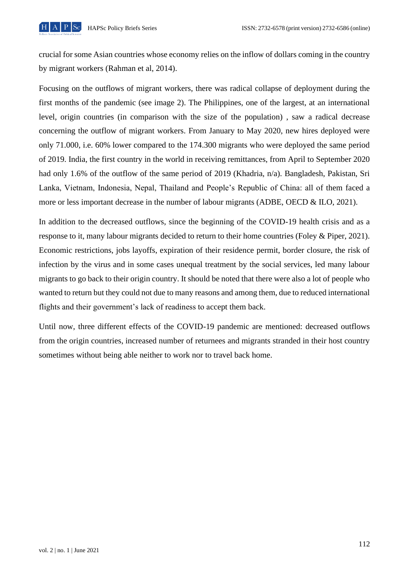

crucial for some Asian countries whose economy relies on the inflow of dollars coming in the country by migrant workers (Rahman et al, 2014).

Focusing on the outflows of migrant workers, there was radical collapse of deployment during the first months of the pandemic (see image 2). The Philippines, one of the largest, at an international level, origin countries (in comparison with the size of the population) , saw a radical decrease concerning the outflow of migrant workers. From January to May 2020, new hires deployed were only 71.000, i.e. 60% lower compared to the 174.300 migrants who were deployed the same period of 2019. India, the first country in the world in receiving remittances, from April to September 2020 had only 1.6% of the outflow of the same period of 2019 (Khadria, n/a). Bangladesh, Pakistan, Sri Lanka, Vietnam, Indonesia, Nepal, Thailand and People's Republic of China: all of them faced a more or less important decrease in the number of labour migrants (ADBE, OECD & ILO, 2021).

In addition to the decreased outflows, since the beginning of the COVID-19 health crisis and as a response to it, many labour migrants decided to return to their home countries (Foley & Piper, 2021). Economic restrictions, jobs layoffs, expiration of their residence permit, border closure, the risk of infection by the virus and in some cases unequal treatment by the social services, led many labour migrants to go back to their origin country. It should be noted that there were also a lot of people who wanted to return but they could not due to many reasons and among them, due to reduced international flights and their government's lack of readiness to accept them back.

Until now, three different effects of the COVID-19 pandemic are mentioned: decreased outflows from the origin countries, increased number of returnees and migrants stranded in their host country sometimes without being able neither to work nor to travel back home.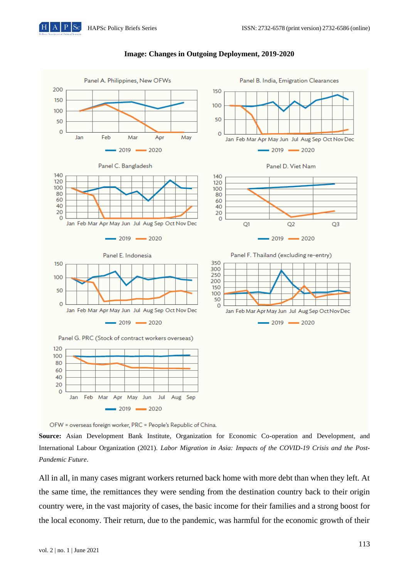

#### **Image: Changes in Outgoing Deployment, 2019-2020**



**Source:** Asian Development Bank Institute, Organization for Economic Co-operation and Development, and International Labour Organization (2021). *Labor Migration in Asia: Impacts of the COVID-19 Crisis and the Post-Pandemic Future*.

All in all, in many cases migrant workers returned back home with more debt than when they left. At the same time, the remittances they were sending from the destination country back to their origin country were, in the vast majority of cases, the basic income for their families and a strong boost for the local economy. Their return, due to the pandemic, was harmful for the economic growth of their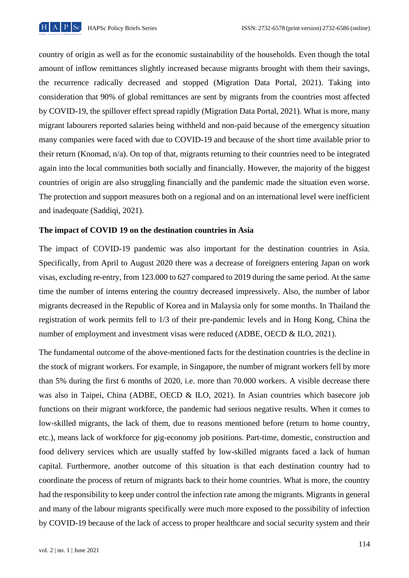

country of origin as well as for the economic sustainability of the households. Even though the total amount of inflow remittances slightly increased because migrants brought with them their savings, the recurrence radically decreased and stopped (Migration Data Portal, 2021). Taking into consideration that 90% of global remittances are sent by migrants from the countries most affected by COVID-19, the spillover effect spread rapidly (Migration Data Portal, 2021). What is more, many migrant labourers reported salaries being withheld and non-paid because of the emergency situation many companies were faced with due to COVID-19 and because of the short time available prior to their return (Knomad, n/a). On top of that, migrants returning to their countries need to be integrated again into the local communities both socially and financially. However, the majority of the biggest countries of origin are also struggling financially and the pandemic made the situation even worse. The protection and support measures both on a regional and on an international level were inefficient and inadequate (Saddiqi, 2021).

# **The impact of COVID 19 on the destination countries in Asia**

The impact of COVID-19 pandemic was also important for the destination countries in Asia. Specifically, from April to August 2020 there was a decrease of foreigners entering Japan on work visas, excluding re-entry, from 123.000 to 627 compared to 2019 during the same period. At the same time the number of interns entering the country decreased impressively. Also, the number of labor migrants decreased in the Republic of Korea and in Malaysia only for some months. In Thailand the registration of work permits fell to 1/3 of their pre-pandemic levels and in Hong Kong, China the number of employment and investment visas were reduced (ADBE, OECD & ILO, 2021).

The fundamental outcome of the above-mentioned facts for the destination countries is the decline in the stock of migrant workers. For example, in Singapore, the number of migrant workers fell by more than 5% during the first 6 months of 2020, i.e. more than 70.000 workers. A visible decrease there was also in Taipei, China (ADBE, OECD & ILO, 2021). In Asian countries which basecore job functions on their migrant workforce, the pandemic had serious negative results. When it comes to low-skilled migrants, the lack of them, due to reasons mentioned before (return to home country, etc.), means lack of workforce for gig-economy job positions. Part-time, domestic, construction and food delivery services which are usually staffed by low-skilled migrants faced a lack of human capital. Furthermore, another outcome of this situation is that each destination country had to coordinate the process of return of migrants back to their home countries. What is more, the country had the responsibility to keep under control the infection rate among the migrants. Migrants in general and many of the labour migrants specifically were much more exposed to the possibility of infection by COVID-19 because of the lack of access to proper healthcare and social security system and their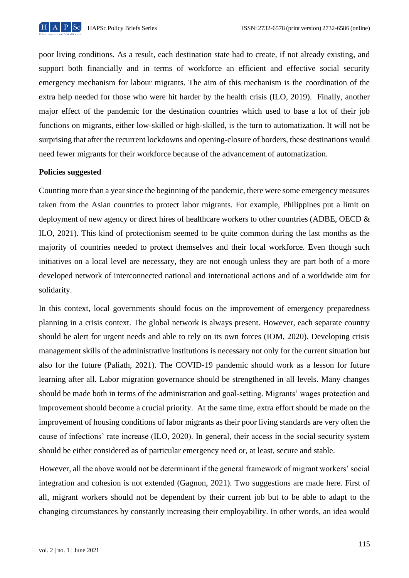

poor living conditions. As a result, each destination state had to create, if not already existing, and support both financially and in terms of workforce an efficient and effective social security emergency mechanism for labour migrants. The aim of this mechanism is the coordination of the extra help needed for those who were hit harder by the health crisis (ILO, 2019). Finally, another major effect of the pandemic for the destination countries which used to base a lot of their job functions on migrants, either low-skilled or high-skilled, is the turn to automatization. It will not be surprising that after the recurrent lockdowns and opening-closure of borders, these destinations would need fewer migrants for their workforce because of the advancement of automatization.

### **Policies suggested**

Counting more than a year since the beginning of the pandemic, there were some emergency measures taken from the Asian countries to protect labor migrants. For example, Philippines put a limit on deployment of new agency or direct hires of healthcare workers to other countries (ADBE, OECD & ILO, 2021). This kind of protectionism seemed to be quite common during the last months as the majority of countries needed to protect themselves and their local workforce. Even though such initiatives on a local level are necessary, they are not enough unless they are part both of a more developed network of interconnected national and international actions and of a worldwide aim for solidarity.

In this context, local governments should focus on the improvement of emergency preparedness planning in a crisis context. The global network is always present. However, each separate country should be alert for urgent needs and able to rely on its own forces (IOM, 2020). Developing crisis management skills of the administrative institutions is necessary not only for the current situation but also for the future (Paliath, 2021). The COVID-19 pandemic should work as a lesson for future learning after all. Labor migration governance should be strengthened in all levels. Many changes should be made both in terms of the administration and goal-setting. Migrants' wages protection and improvement should become a crucial priority. At the same time, extra effort should be made on the improvement of housing conditions of labor migrants as their poor living standards are very often the cause of infections' rate increase (ILO, 2020). In general, their access in the social security system should be either considered as of particular emergency need or, at least, secure and stable.

However, all the above would not be determinant if the general framework of migrant workers' social integration and cohesion is not extended (Gagnon, 2021). Two suggestions are made here. First of all, migrant workers should not be dependent by their current job but to be able to adapt to the changing circumstances by constantly increasing their employability. In other words, an idea would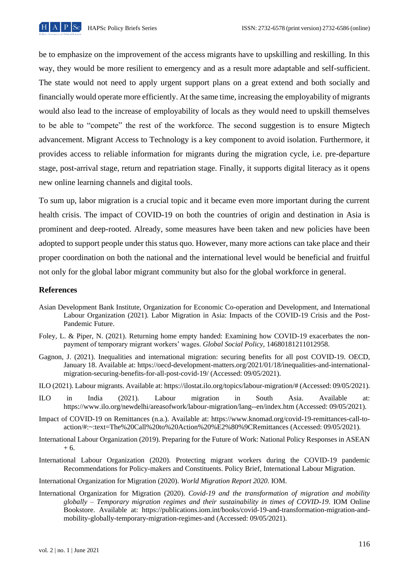

be to emphasize on the improvement of the access migrants have to upskilling and reskilling. In this way, they would be more resilient to emergency and as a result more adaptable and self-sufficient. The state would not need to apply urgent support plans on a great extend and both socially and financially would operate more efficiently. At the same time, increasing the employability of migrants would also lead to the increase of employability of locals as they would need to upskill themselves to be able to "compete" the rest of the workforce. The second suggestion is to ensure Migtech advancement. Migrant Access to Technology is a key component to avoid isolation. Furthermore, it provides access to reliable information for migrants during the migration cycle, i.e. pre-departure stage, post-arrival stage, return and repatriation stage. Finally, it supports digital literacy as it opens new online learning channels and digital tools.

To sum up, labor migration is a crucial topic and it became even more important during the current health crisis. The impact of COVID-19 on both the countries of origin and destination in Asia is prominent and deep-rooted. Already, some measures have been taken and new policies have been adopted to support people under this status quo. However, many more actions can take place and their proper coordination on both the national and the international level would be beneficial and fruitful not only for the global labor migrant community but also for the global workforce in general.

#### **References**

- Asian Development Bank Institute, Organization for Economic Co-operation and Development, and International Labour Organization (2021). Labor Migration in Asia: Impacts of the COVID-19 Crisis and the Post-Pandemic Future.
- Foley, L. & Piper, N. (2021). Returning home empty handed: Examining how COVID-19 exacerbates the nonpayment of temporary migrant workers' wages. *Global Social Policy*, 14680181211012958.
- Gagnon, J. (2021). Inequalities and international migration: securing benefits for all post COVID-19. OECD, January 18. Available at: https://oecd-development-matters.org/2021/01/18/inequalities-and-internationalmigration-securing-benefits-for-all-post-covid-19/ (Accessed: 09/05/2021).
- ILO (2021). Labour migrants. Available at: https://ilostat.ilo.org/topics/labour-migration/# (Accessed: 09/05/2021).
- ILO in India (2021). Labour migration in South Asia. Available at: https://www.ilo.org/newdelhi/areasofwork/labour-migration/lang--en/index.htm (Accessed: 09/05/2021).
- Impact of COVID-19 on Remittances (n.a.). Available at: https://www.knomad.org/covid-19-remittances-call-toaction/#:~:text=The%20Call%20to%20Action%20%E2%80%9CRemittances (Accessed: 09/05/2021).
- International Labour Organization (2019). Preparing for the Future of Work: National Policy Responses in ASEAN  $+ 6.$
- International Labour Organization (2020). Protecting migrant workers during the COVID-19 pandemic Recommendations for Policy-makers and Constituents. Policy Brief, International Labour Migration.
- International Organization for Migration (2020). *World Migration Report 2020*. IOM.
- International Organization for Migration (2020). *Covid-19 and the transformation of migration and mobility globally – Temporary migration regimes and their sustainability in times of COVID-19*. IOM Online Bookstore. Available at: https://publications.iom.int/books/covid-19-and-transformation-migration-andmobility-globally-temporary-migration-regimes-and (Accessed: 09/05/2021).